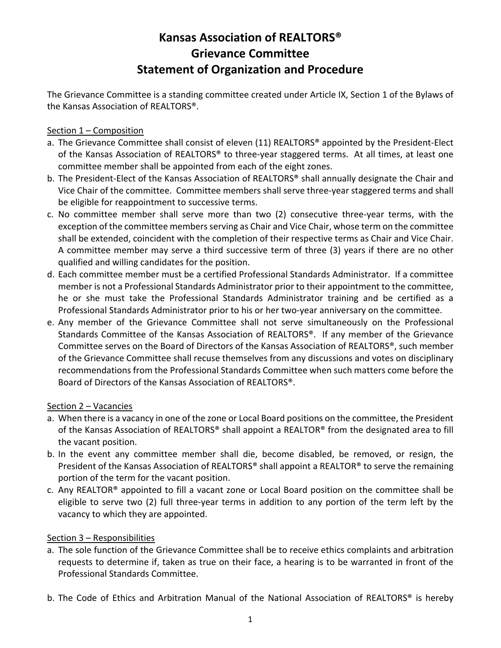# **Kansas Association of REALTORS® Grievance Committee Statement of Organization and Procedure**

The Grievance Committee is a standing committee created under Article IX, Section 1 of the Bylaws of the Kansas Association of REALTORS®.

#### Section 1 – Composition

- a. The Grievance Committee shall consist of eleven (11) REALTORS® appointed by the President‐Elect of the Kansas Association of REALTORS<sup>®</sup> to three-year staggered terms. At all times, at least one committee member shall be appointed from each of the eight zones.
- b. The President‐Elect of the Kansas Association of REALTORS® shall annually designate the Chair and Vice Chair of the committee. Committee members shall serve three‐year staggered terms and shall be eligible for reappointment to successive terms.
- c. No committee member shall serve more than two (2) consecutive three‐year terms, with the exception of the committee members serving as Chair and Vice Chair, whose term on the committee shall be extended, coincident with the completion of their respective terms as Chair and Vice Chair. A committee member may serve a third successive term of three (3) years if there are no other qualified and willing candidates for the position.
- d. Each committee member must be a certified Professional Standards Administrator. If a committee member is not a Professional Standards Administrator prior to their appointment to the committee, he or she must take the Professional Standards Administrator training and be certified as a Professional Standards Administrator prior to his or her two-year anniversary on the committee.
- e. Any member of the Grievance Committee shall not serve simultaneously on the Professional Standards Committee of the Kansas Association of REALTORS®. If any member of the Grievance Committee serves on the Board of Directors of the Kansas Association of REALTORS®, such member of the Grievance Committee shall recuse themselves from any discussions and votes on disciplinary recommendations from the Professional Standards Committee when such matters come before the Board of Directors of the Kansas Association of REALTORS®.

## Section 2 – Vacancies

- a. When there is a vacancy in one of the zone or Local Board positions on the committee, the President of the Kansas Association of REALTORS® shall appoint a REALTOR® from the designated area to fill the vacant position.
- b. In the event any committee member shall die, become disabled, be removed, or resign, the President of the Kansas Association of REALTORS® shall appoint a REALTOR® to serve the remaining portion of the term for the vacant position.
- c. Any REALTOR® appointed to fill a vacant zone or Local Board position on the committee shall be eligible to serve two (2) full three-year terms in addition to any portion of the term left by the vacancy to which they are appointed.

## Section 3 – Responsibilities

- a. The sole function of the Grievance Committee shall be to receive ethics complaints and arbitration requests to determine if, taken as true on their face, a hearing is to be warranted in front of the Professional Standards Committee.
- b. The Code of Ethics and Arbitration Manual of the National Association of REALTORS® is hereby